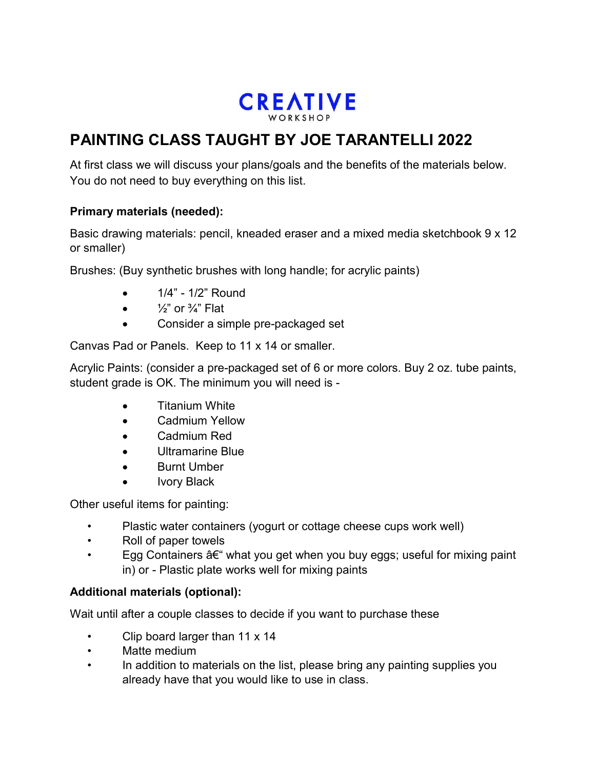

# **PAINTING CLASS TAUGHT BY JOE TARANTELLI 2022**

At first class we will discuss your plans/goals and the benefits of the materials below. You do not need to buy everything on this list.

### **Primary materials (needed):**

Basic drawing materials: pencil, kneaded eraser and a mixed media sketchbook 9 x 12 or smaller)

Brushes: (Buy synthetic brushes with long handle; for acrylic paints)

- 1/4" 1/2" Round
- $\frac{1}{2}$ " or  $\frac{3}{4}$ " Flat
- Consider a simple pre-packaged set

Canvas Pad or Panels. Keep to 11 x 14 or smaller.

Acrylic Paints: (consider a pre-packaged set of 6 or more colors. Buy 2 oz. tube paints, student grade is OK. The minimum you will need is -

- Titanium White
- Cadmium Yellow
- Cadmium Red
- Ultramarine Blue
- Burnt Umber
- Ivory Black

Other useful items for painting:

- Plastic water containers (yogurt or cottage cheese cups work well)
- Roll of paper towels
- Egg Containers  $\hat{a}\in\hat{a}$  what you get when you buy eggs; useful for mixing paint in) or - Plastic plate works well for mixing paints

### **Additional materials (optional):**

Wait until after a couple classes to decide if you want to purchase these

- Clip board larger than 11 x 14
- Matte medium
- In addition to materials on the list, please bring any painting supplies you already have that you would like to use in class.